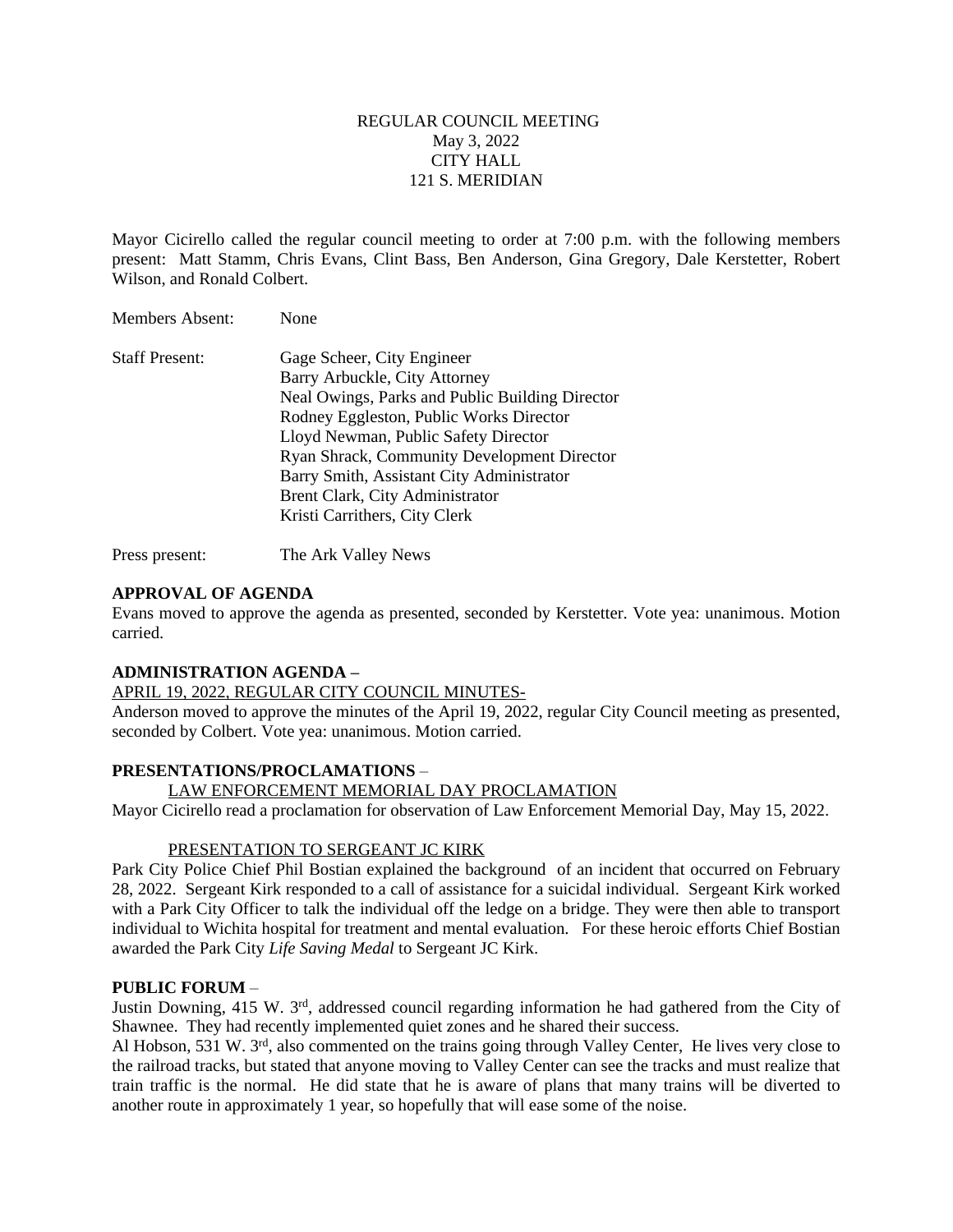## REGULAR COUNCIL MEETING May 3, 2022 CITY HALL 121 S. MERIDIAN

Mayor Cicirello called the regular council meeting to order at 7:00 p.m. with the following members present: Matt Stamm, Chris Evans, Clint Bass, Ben Anderson, Gina Gregory, Dale Kerstetter, Robert Wilson, and Ronald Colbert.

| <b>Staff Present:</b> | Gage Scheer, City Engineer                         |
|-----------------------|----------------------------------------------------|
|                       | Barry Arbuckle, City Attorney                      |
|                       | Neal Owings, Parks and Public Building Director    |
|                       | Rodney Eggleston, Public Works Director            |
|                       | Lloyd Newman, Public Safety Director               |
|                       | <b>Ryan Shrack, Community Development Director</b> |
|                       | Barry Smith, Assistant City Administrator          |
|                       | Brent Clark, City Administrator                    |
|                       | Kristi Carrithers, City Clerk                      |

Press present: The Ark Valley News

## **APPROVAL OF AGENDA**

Members Absent: None

Evans moved to approve the agenda as presented, seconded by Kerstetter. Vote yea: unanimous. Motion carried.

## **ADMINISTRATION AGENDA –**

APRIL 19, 2022, REGULAR CITY COUNCIL MINUTES-

Anderson moved to approve the minutes of the April 19, 2022, regular City Council meeting as presented, seconded by Colbert. Vote yea: unanimous. Motion carried.

## **PRESENTATIONS/PROCLAMATIONS** –

## LAW ENFORCEMENT MEMORIAL DAY PROCLAMATION

Mayor Cicirello read a proclamation for observation of Law Enforcement Memorial Day, May 15, 2022.

## PRESENTATION TO SERGEANT JC KIRK

Park City Police Chief Phil Bostian explained the background of an incident that occurred on February 28, 2022. Sergeant Kirk responded to a call of assistance for a suicidal individual. Sergeant Kirk worked with a Park City Officer to talk the individual off the ledge on a bridge. They were then able to transport individual to Wichita hospital for treatment and mental evaluation. For these heroic efforts Chief Bostian awarded the Park City *Life Saving Medal* to Sergeant JC Kirk.

## **PUBLIC FORUM** –

Justin Downing, 415 W. 3rd, addressed council regarding information he had gathered from the City of Shawnee. They had recently implemented quiet zones and he shared their success.

Al Hobson, 531 W. 3rd, also commented on the trains going through Valley Center, He lives very close to the railroad tracks, but stated that anyone moving to Valley Center can see the tracks and must realize that train traffic is the normal. He did state that he is aware of plans that many trains will be diverted to another route in approximately 1 year, so hopefully that will ease some of the noise.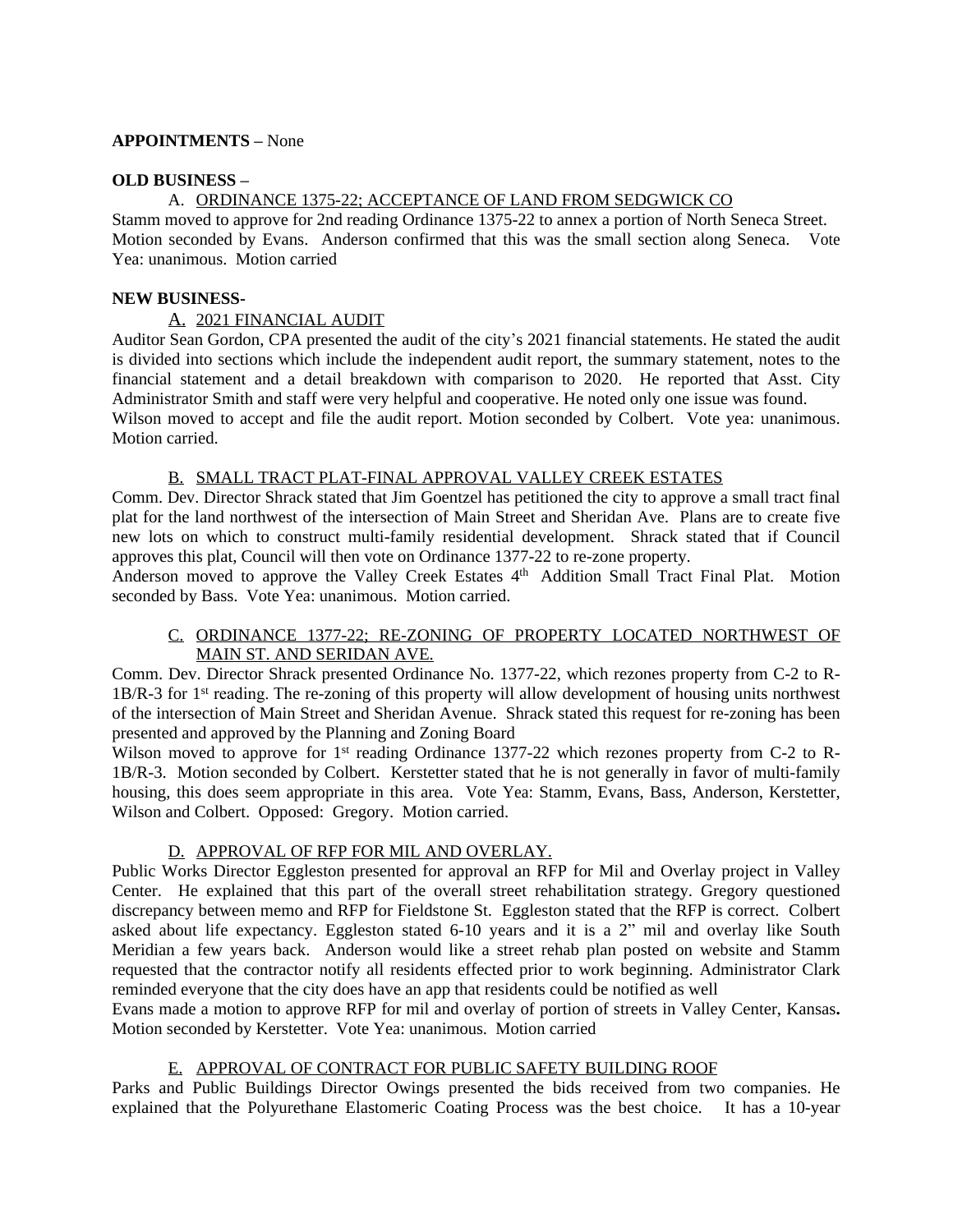## **APPOINTMENTS –** None

#### **OLD BUSINESS –**

## A. ORDINANCE 1375-22; ACCEPTANCE OF LAND FROM SEDGWICK CO

Stamm moved to approve for 2nd reading Ordinance 1375-22 to annex a portion of North Seneca Street. Motion seconded by Evans. Anderson confirmed that this was the small section along Seneca. Vote Yea: unanimous. Motion carried

## **NEW BUSINESS-**

## A. 2021 FINANCIAL AUDIT

Auditor Sean Gordon, CPA presented the audit of the city's 2021 financial statements. He stated the audit is divided into sections which include the independent audit report, the summary statement, notes to the financial statement and a detail breakdown with comparison to 2020. He reported that Asst. City Administrator Smith and staff were very helpful and cooperative. He noted only one issue was found. Wilson moved to accept and file the audit report. Motion seconded by Colbert. Vote yea: unanimous. Motion carried.

#### B. SMALL TRACT PLAT-FINAL APPROVAL VALLEY CREEK ESTATES

Comm. Dev. Director Shrack stated that Jim Goentzel has petitioned the city to approve a small tract final plat for the land northwest of the intersection of Main Street and Sheridan Ave. Plans are to create five new lots on which to construct multi-family residential development. Shrack stated that if Council approves this plat, Council will then vote on Ordinance 1377-22 to re-zone property.

Anderson moved to approve the Valley Creek Estates 4<sup>th</sup> Addition Small Tract Final Plat. Motion seconded by Bass. Vote Yea: unanimous. Motion carried.

## C. ORDINANCE 1377-22; RE-ZONING OF PROPERTY LOCATED NORTHWEST OF MAIN ST. AND SERIDAN AVE.

Comm. Dev. Director Shrack presented Ordinance No. 1377-22, which rezones property from C-2 to R-1B/R-3 for 1<sup>st</sup> reading. The re-zoning of this property will allow development of housing units northwest of the intersection of Main Street and Sheridan Avenue. Shrack stated this request for re-zoning has been presented and approved by the Planning and Zoning Board

Wilson moved to approve for 1<sup>st</sup> reading Ordinance 1377-22 which rezones property from C-2 to R-1B/R-3. Motion seconded by Colbert. Kerstetter stated that he is not generally in favor of multi-family housing, this does seem appropriate in this area. Vote Yea: Stamm, Evans, Bass, Anderson, Kerstetter, Wilson and Colbert. Opposed: Gregory. Motion carried.

## D. APPROVAL OF RFP FOR MIL AND OVERLAY.

Public Works Director Eggleston presented for approval an RFP for Mil and Overlay project in Valley Center. He explained that this part of the overall street rehabilitation strategy. Gregory questioned discrepancy between memo and RFP for Fieldstone St. Eggleston stated that the RFP is correct. Colbert asked about life expectancy. Eggleston stated 6-10 years and it is a 2" mil and overlay like South Meridian a few years back. Anderson would like a street rehab plan posted on website and Stamm requested that the contractor notify all residents effected prior to work beginning. Administrator Clark reminded everyone that the city does have an app that residents could be notified as well

Evans made a motion to approve RFP for mil and overlay of portion of streets in Valley Center, Kansas**.** Motion seconded by Kerstetter. Vote Yea: unanimous. Motion carried

## E. APPROVAL OF CONTRACT FOR PUBLIC SAFETY BUILDING ROOF

Parks and Public Buildings Director Owings presented the bids received from two companies. He explained that the Polyurethane Elastomeric Coating Process was the best choice. It has a 10-year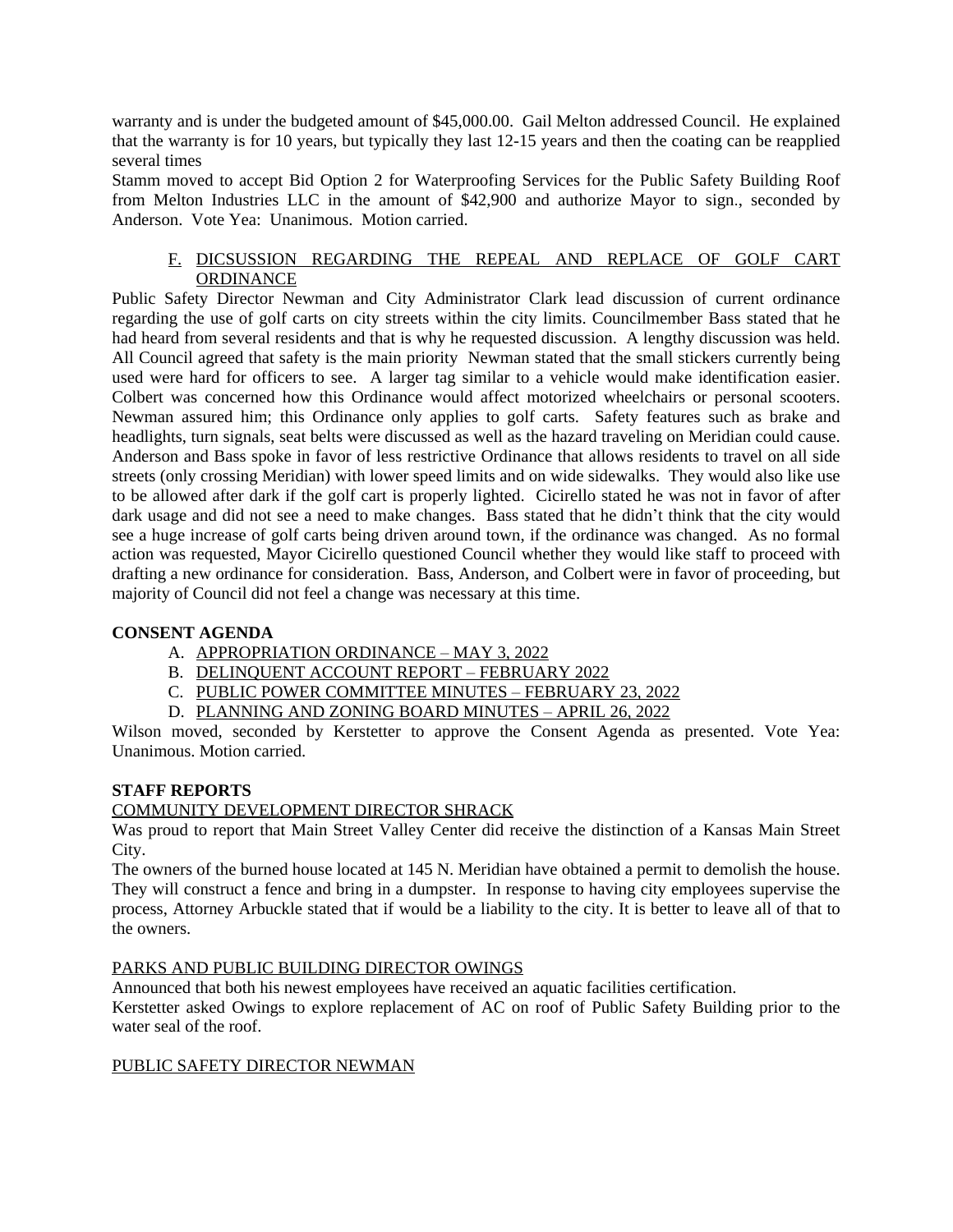warranty and is under the budgeted amount of \$45,000.00. Gail Melton addressed Council. He explained that the warranty is for 10 years, but typically they last 12-15 years and then the coating can be reapplied several times

Stamm moved to accept Bid Option 2 for Waterproofing Services for the Public Safety Building Roof from Melton Industries LLC in the amount of \$42,900 and authorize Mayor to sign., seconded by Anderson. Vote Yea: Unanimous. Motion carried.

## F. DICSUSSION REGARDING THE REPEAL AND REPLACE OF GOLF CART **ORDINANCE**

Public Safety Director Newman and City Administrator Clark lead discussion of current ordinance regarding the use of golf carts on city streets within the city limits. Councilmember Bass stated that he had heard from several residents and that is why he requested discussion. A lengthy discussion was held. All Council agreed that safety is the main priority Newman stated that the small stickers currently being used were hard for officers to see. A larger tag similar to a vehicle would make identification easier. Colbert was concerned how this Ordinance would affect motorized wheelchairs or personal scooters. Newman assured him; this Ordinance only applies to golf carts. Safety features such as brake and headlights, turn signals, seat belts were discussed as well as the hazard traveling on Meridian could cause. Anderson and Bass spoke in favor of less restrictive Ordinance that allows residents to travel on all side streets (only crossing Meridian) with lower speed limits and on wide sidewalks. They would also like use to be allowed after dark if the golf cart is properly lighted. Cicirello stated he was not in favor of after dark usage and did not see a need to make changes. Bass stated that he didn't think that the city would see a huge increase of golf carts being driven around town, if the ordinance was changed. As no formal action was requested, Mayor Cicirello questioned Council whether they would like staff to proceed with drafting a new ordinance for consideration. Bass, Anderson, and Colbert were in favor of proceeding, but majority of Council did not feel a change was necessary at this time.

# **CONSENT AGENDA**

- A. APPROPRIATION ORDINANCE MAY 3, 2022
- B. DELINQUENT ACCOUNT REPORT FEBRUARY 2022
- C. PUBLIC POWER COMMITTEE MINUTES FEBRUARY 23, 2022
- D. PLANNING AND ZONING BOARD MINUTES APRIL 26, 2022

Wilson moved, seconded by Kerstetter to approve the Consent Agenda as presented. Vote Yea: Unanimous. Motion carried.

# **STAFF REPORTS**

# COMMUNITY DEVELOPMENT DIRECTOR SHRACK

Was proud to report that Main Street Valley Center did receive the distinction of a Kansas Main Street City.

The owners of the burned house located at 145 N. Meridian have obtained a permit to demolish the house. They will construct a fence and bring in a dumpster. In response to having city employees supervise the process, Attorney Arbuckle stated that if would be a liability to the city. It is better to leave all of that to the owners.

# PARKS AND PUBLIC BUILDING DIRECTOR OWINGS

Announced that both his newest employees have received an aquatic facilities certification.

Kerstetter asked Owings to explore replacement of AC on roof of Public Safety Building prior to the water seal of the roof.

# PUBLIC SAFETY DIRECTOR NEWMAN